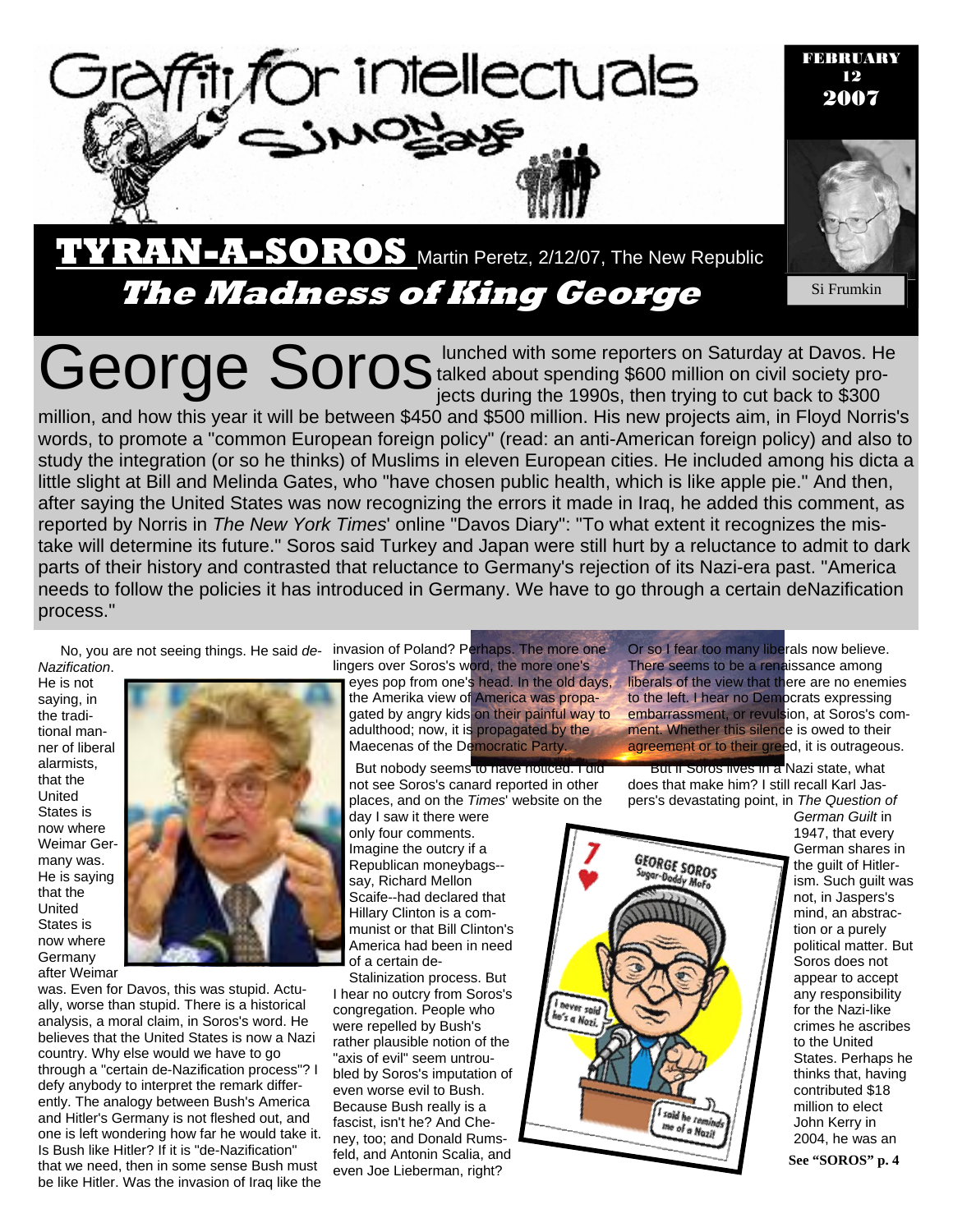

FEBRUARY 12 2007



**The Madness of King George Si Frumkin** 

George Soros lunched with some reporters on Saturday at Davos. He George Soro million on civil society protalked about spending \$600 million on civil society projects during the 1990s, then trying to cut back to \$300

parts of their history and contrasted that reluctance to Germany's rejection of its Nazi-era past. "America million, and how this year it will be between \$450 and \$500 million. His new projects aim, in Floyd Norris's words, to promote a "common European foreign policy" (read: an anti-American foreign policy) and also to study the integration (or so he thinks) of Muslims in eleven European cities. He included among his dicta a little slight at Bill and Melinda Gates, who "have chosen public health, which is like apple pie." And then, after saying the United States was now recognizing the errors it made in Iraq, he added this comment, as reported by Norris in *The New York Times*' online "Davos Diary": "To what extent it recognizes the mistake will determine its future." Soros said Turkey and Japan were still hurt by a reluctance to admit to dark needs to follow the policies it has introduced in Germany. We have to go through a certain deNazification process."

*Nazification*. He is not saying, in the traditional manner of liberal alarmists, that the United States is now where Weimar Germany was. He is saying that the United States is now where Germany after Weimar



was. Even for Davos, this was stupid. Actually, worse than stupid. There is a historical analysis, a moral claim, in Soros's word. He believes that the United States is now a Nazi country. Why else would we have to go through a "certain de-Nazification process"? I defy anybody to interpret the remark differently. The analogy between Bush's America and Hitler's Germany is not fleshed out, and one is left wondering how far he would take it. Is Bush like Hitler? If it is "de-Nazification" that we need, then in some sense Bush must be like Hitler. Was the invasion of Iraq like the

No, you are not seeing things. He said *de-*invasion of Poland? Perhaps. The more one lingers over Soros's word, the more one's

eyes pop from one's head. In the old days, the Amerika view of America was propagated by angry kids on their painful way to adulthood; now, it is propagated by the Maecenas of the Democratic Party.

But nobody seems to have noticed. I did not see Soros's canard reported in other places, and on the *Times*' website on the

day I saw it there were only four comments. Imagine the outcry if a Republican moneybags- say, Richard Mellon Scaife--had declared that Hillary Clinton is a communist or that Bill Clinton's America had been in need of a certain de-

Stalinization process. But I hear no outcry from Soros's congregation. People who were repelled by Bush's rather plausible notion of the "axis of evil" seem untroubled by Soros's imputation of even worse evil to Bush. Because Bush really is a fascist, isn't he? And Cheney, too; and Donald Rumsfeld, and Antonin Scalia, and even Joe Lieberman, right?

Or so I fear too many liberals now believe. There seems to be a renaissance among liberals of the view that there are no enemies to the left. I hear no Democrats expressing embarrassment, or revulsion, at Soros's comment. Whether this silence is owed to their agreement or to their greed, it is outrageous.

But if Soros lives in a Nazi state, what does that make him? I still recall Karl Jaspers's devastating point, in *The Question of* 



*German Guilt* in 1947, that every German shares in the guilt of Hitlerism. Such guilt was not, in Jaspers's mind, an abstraction or a purely political matter. But Soros does not appear to accept any responsibility for the Nazi-like crimes he ascribes to the United States. Perhaps he thinks that, having contributed \$18 million to elect John Kerry in 2004, he was an

**See "SOROS" p. 4**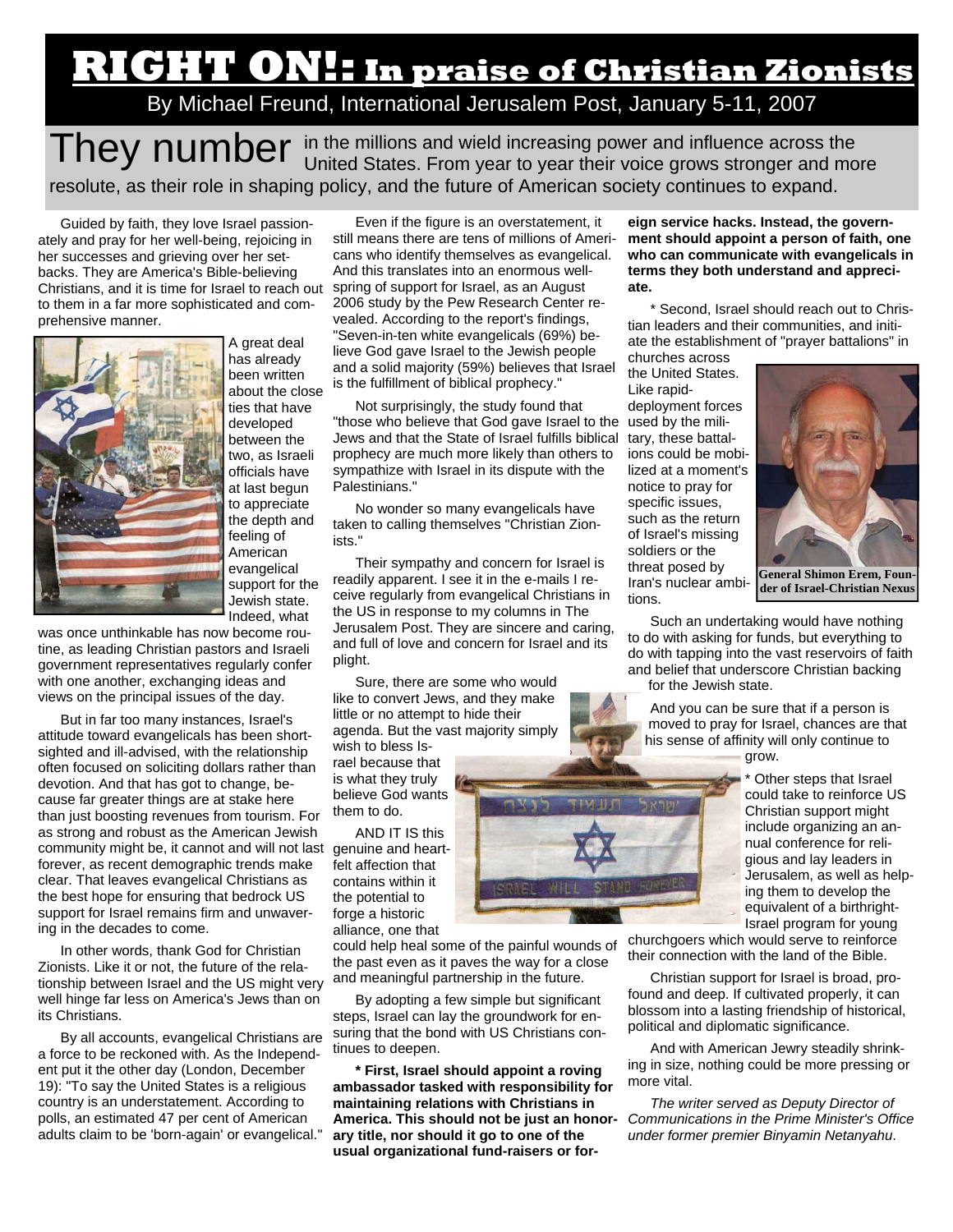# **RIGHT ON!: In praise of Christian Zionists**

By Michael Freund, International Jerusalem Post, January 5-11, 2007

They number in the millions and wield increasing power and influence across the United States. From year to year their voice grows stronger and more resolute, as their role in shaping policy, and the future of American society continues to expand.

Guided by faith, they love Israel passionately and pray for her well-being, rejoicing in her successes and grieving over her setbacks. They are America's Bible-believing Christians, and it is time for Israel to reach out to them in a far more sophisticated and comprehensive manner.



A great deal has already been written about the close ties that have developed between the two, as Israeli officials have at last begun to appreciate the depth and feeling of American evangelical support for the Jewish state. Indeed, what

was once unthinkable has now become routine, as leading Christian pastors and Israeli government representatives regularly confer with one another, exchanging ideas and views on the principal issues of the day.

But in far too many instances, Israel's attitude toward evangelicals has been shortsighted and ill-advised, with the relationship often focused on soliciting dollars rather than devotion. And that has got to change, because far greater things are at stake here than just boosting revenues from tourism. For as strong and robust as the American Jewish community might be, it cannot and will not last genuine and heartforever, as recent demographic trends make clear. That leaves evangelical Christians as the best hope for ensuring that bedrock US support for Israel remains firm and unwavering in the decades to come.

In other words, thank God for Christian Zionists. Like it or not, the future of the relationship between Israel and the US might very well hinge far less on America's Jews than on its Christians.

By all accounts, evangelical Christians are a force to be reckoned with. As the Independent put it the other day (London, December 19): "To say the United States is a religious country is an understatement. According to polls, an estimated 47 per cent of American adults claim to be 'born-again' or evangelical."

Even if the figure is an overstatement, it still means there are tens of millions of Americans who identify themselves as evangelical. And this translates into an enormous wellspring of support for Israel, as an August 2006 study by the Pew Research Center revealed. According to the report's findings, "Seven-in-ten white evangelicals (69%) believe God gave Israel to the Jewish people and a solid majority (59%) believes that Israel is the fulfillment of biblical prophecy."

Not surprisingly, the study found that "those who believe that God gave Israel to the used by the mili-Jews and that the State of Israel fulfills biblical prophecy are much more likely than others to sympathize with Israel in its dispute with the Palestinians."

No wonder so many evangelicals have taken to calling themselves "Christian Zionists."

Their sympathy and concern for Israel is readily apparent. I see it in the e-mails I receive regularly from evangelical Christians in the US in response to my columns in The Jerusalem Post. They are sincere and caring, and full of love and concern for Israel and its plight.

Sure, there are some who would like to convert Jews, and they make little or no attempt to hide their agenda. But the vast majority simply

wish to bless Israel because that is what they truly believe God wants them to do.

AND IT IS this felt affection that contains within it the potential to forge a historic alliance, one that

could help heal some of the painful wounds of the past even as it paves the way for a close and meaningful partnership in the future.

By adopting a few simple but significant steps, Israel can lay the groundwork for ensuring that the bond with US Christians continues to deepen.

**\* First, Israel should appoint a roving ambassador tasked with responsibility for maintaining relations with Christians in America. This should not be just an honorary title, nor should it go to one of the usual organizational fund-raisers or for-**

**eign service hacks. Instead, the government should appoint a person of faith, one who can communicate with evangelicals in terms they both understand and appreciate.** 

\* Second, Israel should reach out to Christian leaders and their communities, and initiate the establishment of "prayer battalions" in

churches across the United States. Like rapiddeployment forces tary, these battalions could be mobilized at a moment's notice to pray for specific issues, such as the return of Israel's missing soldiers or the threat posed by Iran's nuclear ambitions.



**der of Israel-Christian Nexus** 

Such an undertaking would have nothing to do with asking for funds, but everything to do with tapping into the vast reservoirs of faith and belief that underscore Christian backing for the Jewish state.

And you can be sure that if a person is moved to pray for Israel, chances are that his sense of affinity will only continue to

grow.

\* Other steps that Israel could take to reinforce US Christian support might include organizing an annual conference for religious and lay leaders in Jerusalem, as well as helping them to develop the equivalent of a birthright-Israel program for young

churchgoers which would serve to reinforce their connection with the land of the Bible.

Christian support for Israel is broad, profound and deep. If cultivated properly, it can blossom into a lasting friendship of historical, political and diplomatic significance.

And with American Jewry steadily shrinking in size, nothing could be more pressing or more vital.

*The writer served as Deputy Director of Communications in the Prime Minister's Office under former premier Binyamin Netanyahu*.

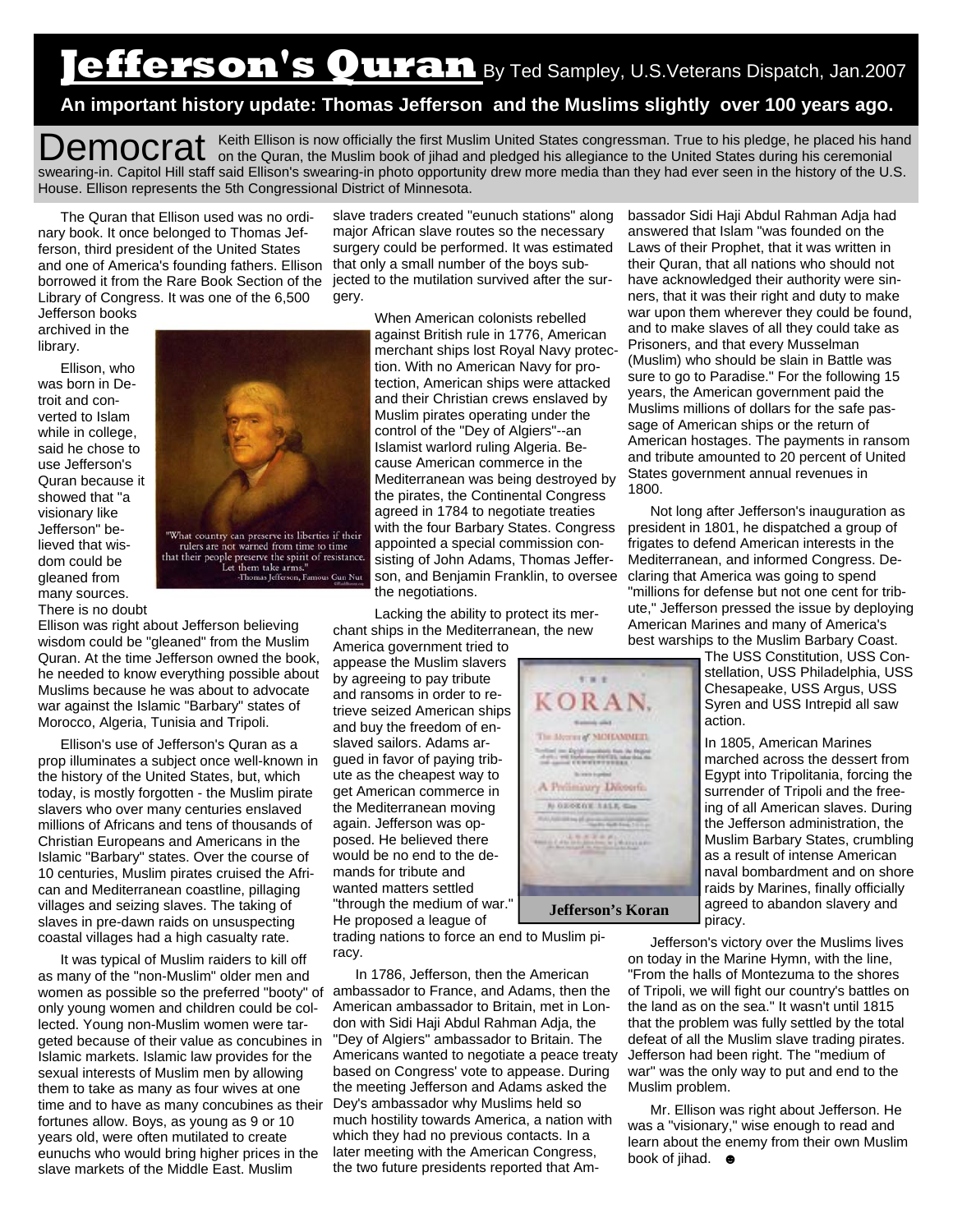# **Jefferson's Quran** By Ted Sampley, U.S.Veterans Dispatch, Jan.2007

## **An important history update: Thomas Jefferson and the Muslims slightly over 100 years ago.**

Democrat Keith Ellison is now officially the first Muslim United States congressman. True to his pledge, he placed his hand on the Quran, the Muslim book of jihad and pledged his allegiance to the United States during his swearing-in. Capitol Hill staff said Ellison's swearing-in photo opportunity drew more media than they had ever seen in the history of the U.S. House. Ellison represents the 5th Congressional District of Minnesota.

The Quran that Ellison used was no ordinary book. It once belonged to Thomas Jefferson, third president of the United States and one of America's founding fathers. Ellison borrowed it from the Rare Book Section of the jected to the mutilation survived after the sur-Library of Congress. It was one of the 6,500

Jefferson books archived in the library.

Ellison, who was born in Detroit and converted to Islam while in college, said he chose to use Jefferson's Quran because it showed that "a visionary like Jefferson" believed that wisdom could be gleaned from many sources. There is no doubt



-Thomas Jefferson, Famous Gun Nut

Ellison was right about Jefferson believing wisdom could be "gleaned" from the Muslim Quran. At the time Jefferson owned the book, he needed to know everything possible about Muslims because he was about to advocate war against the Islamic "Barbary" states of Morocco, Algeria, Tunisia and Tripoli.

Ellison's use of Jefferson's Quran as a prop illuminates a subject once well-known in the history of the United States, but, which today, is mostly forgotten - the Muslim pirate slavers who over many centuries enslaved millions of Africans and tens of thousands of Christian Europeans and Americans in the Islamic "Barbary" states. Over the course of 10 centuries, Muslim pirates cruised the African and Mediterranean coastline, pillaging villages and seizing slaves. The taking of slaves in pre-dawn raids on unsuspecting coastal villages had a high casualty rate.

It was typical of Muslim raiders to kill off as many of the "non-Muslim" older men and women as possible so the preferred "booty" of ambassador to France, and Adams, then the only young women and children could be collected. Young non-Muslim women were targeted because of their value as concubines in Islamic markets. Islamic law provides for the sexual interests of Muslim men by allowing them to take as many as four wives at one time and to have as many concubines as their fortunes allow. Boys, as young as 9 or 10 years old, were often mutilated to create eunuchs who would bring higher prices in the slave markets of the Middle East. Muslim

slave traders created "eunuch stations" along major African slave routes so the necessary surgery could be performed. It was estimated that only a small number of the boys subgery.

> When American colonists rebelled against British rule in 1776, American merchant ships lost Royal Navy protection. With no American Navy for protection, American ships were attacked and their Christian crews enslaved by Muslim pirates operating under the control of the "Dey of Algiers"--an Islamist warlord ruling Algeria. Because American commerce in the Mediterranean was being destroyed by the pirates, the Continental Congress agreed in 1784 to negotiate treaties with the four Barbary States. Congress appointed a special commission consisting of John Adams, Thomas Jefferson, and Benjamin Franklin, to oversee the negotiations.

Lacking the ability to protect its merchant ships in the Mediterranean, the new

In 1786, Jefferson, then the American American ambassador to Britain, met in London with Sidi Haji Abdul Rahman Adja, the "Dey of Algiers" ambassador to Britain. The Americans wanted to negotiate a peace treaty based on Congress' vote to appease. During the meeting Jefferson and Adams asked the Dey's ambassador why Muslims held so much hostility towards America, a nation with which they had no previous contacts. In a later meeting with the American Congress, the two future presidents reported that Am-

America government tried to appease the Muslim slavers by agreeing to pay tribute and ransoms in order to retrieve seized American ships and buy the freedom of enslaved sailors. Adams argued in favor of paying tribute as the cheapest way to get American commerce in the Mediterranean moving again. Jefferson was opposed. He believed there would be no end to the demands for tribute and wanted matters settled "through the medium of war." He proposed a league of

racy.

 $7.9.7$ **KORAN.** The Merring MORAMMER and an Archivescope for the September of the Archives of the Archives of the Archives of the Archives of the Archives of the Archives of the Archives of the Archives of the Archives of the Archives of the Archives of the A **Bridge** A Prelinioury Dilosoft. *COMMERCIAL* encontrate figure

bassador Sidi Haji Abdul Rahman Adja had answered that Islam "was founded on the Laws of their Prophet, that it was written in their Quran, that all nations who should not have acknowledged their authority were sinners, that it was their right and duty to make war upon them wherever they could be found, and to make slaves of all they could take as Prisoners, and that every Musselman (Muslim) who should be slain in Battle was sure to go to Paradise." For the following 15 years, the American government paid the Muslims millions of dollars for the safe passage of American ships or the return of American hostages. The payments in ransom and tribute amounted to 20 percent of United States government annual revenues in 1800.

Not long after Jefferson's inauguration as president in 1801, he dispatched a group of frigates to defend American interests in the Mediterranean, and informed Congress. Declaring that America was going to spend "millions for defense but not one cent for tribute," Jefferson pressed the issue by deploying American Marines and many of America's best warships to the Muslim Barbary Coast.

> The USS Constitution, USS Constellation, USS Philadelphia, USS Chesapeake, USS Argus, USS Syren and USS Intrepid all saw action.

> In 1805, American Marines marched across the dessert from Egypt into Tripolitania, forcing the surrender of Tripoli and the freeing of all American slaves. During the Jefferson administration, the Muslim Barbary States, crumbling as a result of intense American naval bombardment and on shore raids by Marines, finally officially agreed to abandon slavery and piracy.

Jefferson's victory over the Muslims lives on today in the Marine Hymn, with the line, "From the halls of Montezuma to the shores of Tripoli, we will fight our country's battles on the land as on the sea." It wasn't until 1815 that the problem was fully settled by the total defeat of all the Muslim slave trading pirates. Jefferson had been right. The "medium of war" was the only way to put and end to the Muslim problem.

Mr. Ellison was right about Jefferson. He was a "visionary," wise enough to read and learn about the enemy from their own Muslim book of iihad.  $\bullet$ 

trading nations to force an end to Muslim pi-



### **Jefferson's Koran**